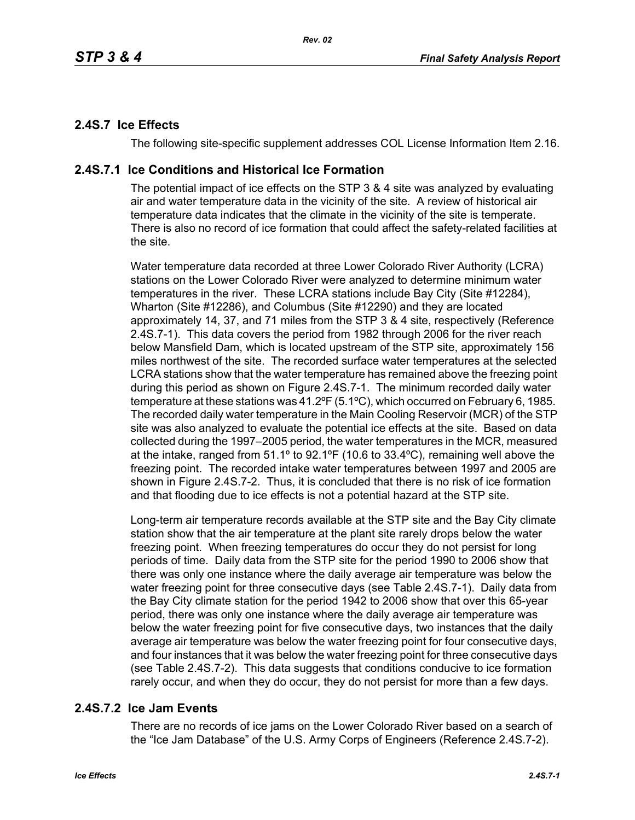# **2.4S.7 Ice Effects**

The following site-specific supplement addresses COL License Information Item 2.16.

## **2.4S.7.1 Ice Conditions and Historical Ice Formation**

The potential impact of ice effects on the STP 3 & 4 site was analyzed by evaluating air and water temperature data in the vicinity of the site. A review of historical air temperature data indicates that the climate in the vicinity of the site is temperate. There is also no record of ice formation that could affect the safety-related facilities at the site.

Water temperature data recorded at three Lower Colorado River Authority (LCRA) stations on the Lower Colorado River were analyzed to determine minimum water temperatures in the river. These LCRA stations include Bay City (Site #12284), Wharton (Site #12286), and Columbus (Site #12290) and they are located approximately 14, 37, and 71 miles from the STP 3 & 4 site, respectively (Reference 2.4S.7-1). This data covers the period from 1982 through 2006 for the river reach below Mansfield Dam, which is located upstream of the STP site, approximately 156 miles northwest of the site. The recorded surface water temperatures at the selected LCRA stations show that the water temperature has remained above the freezing point during this period as shown on Figure 2.4S.7-1. The minimum recorded daily water temperature at these stations was 41.2ºF (5.1ºC), which occurred on February 6, 1985. The recorded daily water temperature in the Main Cooling Reservoir (MCR) of the STP site was also analyzed to evaluate the potential ice effects at the site. Based on data collected during the 1997–2005 period, the water temperatures in the MCR, measured at the intake, ranged from 51.1º to 92.1ºF (10.6 to 33.4ºC), remaining well above the freezing point. The recorded intake water temperatures between 1997 and 2005 are shown in Figure 2.4S.7-2. Thus, it is concluded that there is no risk of ice formation and that flooding due to ice effects is not a potential hazard at the STP site.

Long-term air temperature records available at the STP site and the Bay City climate station show that the air temperature at the plant site rarely drops below the water freezing point. When freezing temperatures do occur they do not persist for long periods of time. Daily data from the STP site for the period 1990 to 2006 show that there was only one instance where the daily average air temperature was below the water freezing point for three consecutive days (see Table 2.4S.7-1). Daily data from the Bay City climate station for the period 1942 to 2006 show that over this 65-year period, there was only one instance where the daily average air temperature was below the water freezing point for five consecutive days, two instances that the daily average air temperature was below the water freezing point for four consecutive days, and four instances that it was below the water freezing point for three consecutive days (see Table 2.4S.7-2). This data suggests that conditions conducive to ice formation rarely occur, and when they do occur, they do not persist for more than a few days.

# **2.4S.7.2 Ice Jam Events**

There are no records of ice jams on the Lower Colorado River based on a search of the "Ice Jam Database" of the U.S. Army Corps of Engineers (Reference 2.4S.7-2).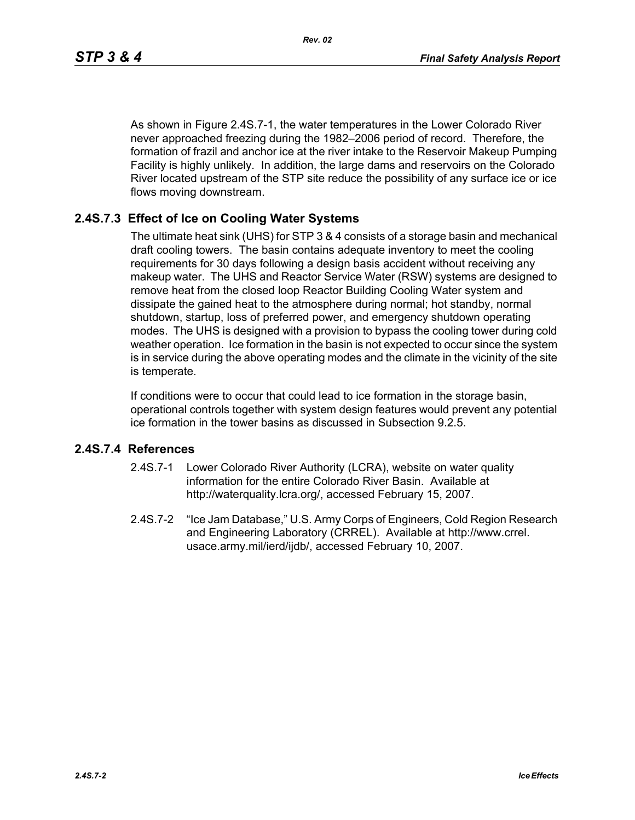As shown in Figure 2.4S.7-1, the water temperatures in the Lower Colorado River never approached freezing during the 1982–2006 period of record. Therefore, the formation of frazil and anchor ice at the river intake to the Reservoir Makeup Pumping Facility is highly unlikely. In addition, the large dams and reservoirs on the Colorado River located upstream of the STP site reduce the possibility of any surface ice or ice flows moving downstream.

## **2.4S.7.3 Effect of Ice on Cooling Water Systems**

The ultimate heat sink (UHS) for STP 3 & 4 consists of a storage basin and mechanical draft cooling towers. The basin contains adequate inventory to meet the cooling requirements for 30 days following a design basis accident without receiving any makeup water. The UHS and Reactor Service Water (RSW) systems are designed to remove heat from the closed loop Reactor Building Cooling Water system and dissipate the gained heat to the atmosphere during normal; hot standby, normal shutdown, startup, loss of preferred power, and emergency shutdown operating modes. The UHS is designed with a provision to bypass the cooling tower during cold weather operation. Ice formation in the basin is not expected to occur since the system is in service during the above operating modes and the climate in the vicinity of the site is temperate.

If conditions were to occur that could lead to ice formation in the storage basin, operational controls together with system design features would prevent any potential ice formation in the tower basins as discussed in Subsection 9.2.5.

#### **2.4S.7.4 References**

- 2.4S.7-1 Lower Colorado River Authority (LCRA), website on water quality information for the entire Colorado River Basin. Available at http://waterquality.lcra.org/, accessed February 15, 2007.
- 2.4S.7-2 "Ice Jam Database," U.S. Army Corps of Engineers, Cold Region Research and Engineering Laboratory (CRREL). Available at http://www.crrel. usace.army.mil/ierd/ijdb/, accessed February 10, 2007.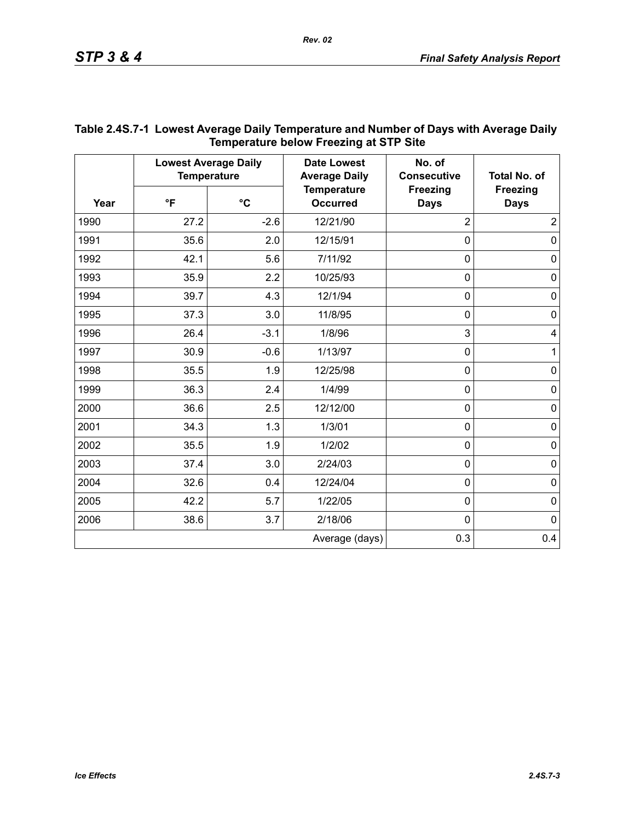| Year | <b>Lowest Average Daily</b><br><b>Temperature</b> |                 | <b>Date Lowest</b><br><b>Average Daily</b> | No. of<br><b>Consecutive</b>   | <b>Total No. of</b>            |
|------|---------------------------------------------------|-----------------|--------------------------------------------|--------------------------------|--------------------------------|
|      | $\mathsf{P}$                                      | $\rm ^{\circ}C$ | <b>Temperature</b><br><b>Occurred</b>      | <b>Freezing</b><br><b>Days</b> | <b>Freezing</b><br><b>Days</b> |
| 1990 | 27.2                                              | $-2.6$          | 12/21/90                                   | $\overline{2}$                 | $\overline{2}$                 |
| 1991 | 35.6                                              | 2.0             | 12/15/91                                   | $\mathbf 0$                    | $\mathbf 0$                    |
| 1992 | 42.1                                              | 5.6             | 7/11/92                                    | $\mathbf 0$                    | $\pmb{0}$                      |
| 1993 | 35.9                                              | 2.2             | 10/25/93                                   | $\mathbf 0$                    | $\pmb{0}$                      |
| 1994 | 39.7                                              | 4.3             | 12/1/94                                    | $\overline{0}$                 | $\pmb{0}$                      |
| 1995 | 37.3                                              | 3.0             | 11/8/95                                    | $\mathbf 0$                    | $\pmb{0}$                      |
| 1996 | 26.4                                              | $-3.1$          | 1/8/96                                     | 3                              | 4                              |
| 1997 | 30.9                                              | $-0.6$          | 1/13/97                                    | $\mathbf 0$                    | $\mathbf{1}$                   |
| 1998 | 35.5                                              | 1.9             | 12/25/98                                   | $\mathbf 0$                    | $\mathbf 0$                    |
| 1999 | 36.3                                              | 2.4             | 1/4/99                                     | $\mathbf 0$                    | $\pmb{0}$                      |
| 2000 | 36.6                                              | 2.5             | 12/12/00                                   | $\mathbf 0$                    | $\pmb{0}$                      |
| 2001 | 34.3                                              | 1.3             | 1/3/01                                     | $\mathbf 0$                    | $\mathbf 0$                    |
| 2002 | 35.5                                              | 1.9             | 1/2/02                                     | $\mathbf 0$                    | $\mathsf 0$                    |
| 2003 | 37.4                                              | 3.0             | 2/24/03                                    | $\mathbf 0$                    | $\pmb{0}$                      |
| 2004 | 32.6                                              | 0.4             | 12/24/04                                   | $\mathbf 0$                    | $\pmb{0}$                      |
| 2005 | 42.2                                              | 5.7             | 1/22/05                                    | $\pmb{0}$                      | $\pmb{0}$                      |
| 2006 | 38.6                                              | 3.7             | 2/18/06                                    | $\mathbf 0$                    | $\mathbf 0$                    |
|      |                                                   |                 | Average (days)                             | 0.3                            | 0.4                            |

### **Table 2.4S.7-1 Lowest Average Daily Temperature and Number of Days with Average Daily Temperature below Freezing at STP Site**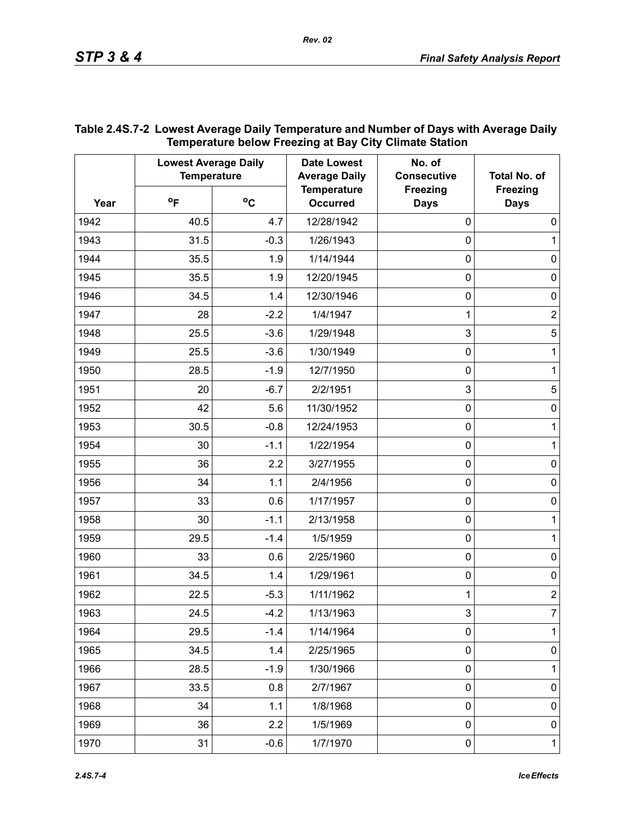| Year | <b>Lowest Average Daily</b><br><b>Temperature</b> |              | <b>Date Lowest</b><br><b>Average Daily</b> | No. of<br><b>Consecutive</b>   | <b>Total No. of</b>            |
|------|---------------------------------------------------|--------------|--------------------------------------------|--------------------------------|--------------------------------|
|      | $^{\circ}$ F                                      | $^{\circ}$ C | <b>Temperature</b><br><b>Occurred</b>      | <b>Freezing</b><br><b>Days</b> | <b>Freezing</b><br><b>Days</b> |
| 1942 | 40.5                                              | 4.7          | 12/28/1942                                 | $\mathbf 0$                    | $\mathbf 0$                    |
| 1943 | 31.5                                              | $-0.3$       | 1/26/1943                                  | 0                              | 1                              |
| 1944 | 35.5                                              | 1.9          | 1/14/1944                                  | 0                              | $\mathbf 0$                    |
| 1945 | 35.5                                              | 1.9          | 12/20/1945                                 | 0                              | $\mathbf 0$                    |
| 1946 | 34.5                                              | 1.4          | 12/30/1946                                 | 0                              | $\mathbf 0$                    |
| 1947 | 28                                                | $-2.2$       | 1/4/1947                                   | 1                              | $\overline{c}$                 |
| 1948 | 25.5                                              | $-3.6$       | 1/29/1948                                  | 3                              | $\sqrt{5}$                     |
| 1949 | 25.5                                              | $-3.6$       | 1/30/1949                                  | 0                              | 1                              |
| 1950 | 28.5                                              | $-1.9$       | 12/7/1950                                  | 0                              | 1                              |
| 1951 | 20                                                | $-6.7$       | 2/2/1951                                   | 3                              | 5                              |
| 1952 | 42                                                | 5.6          | 11/30/1952                                 | 0                              | $\mathbf 0$                    |
| 1953 | 30.5                                              | $-0.8$       | 12/24/1953                                 | 0                              | 1                              |
| 1954 | 30                                                | $-1.1$       | 1/22/1954                                  | 0                              | 1                              |
| 1955 | 36                                                | 2.2          | 3/27/1955                                  | 0                              | $\mathbf 0$                    |
| 1956 | 34                                                | 1.1          | 2/4/1956                                   | 0                              | $\mathbf 0$                    |
| 1957 | 33                                                | 0.6          | 1/17/1957                                  | 0                              | $\mathbf 0$                    |
| 1958 | 30                                                | $-1.1$       | 2/13/1958                                  | 0                              | 1                              |
| 1959 | 29.5                                              | $-1.4$       | 1/5/1959                                   | 0                              | 1                              |
| 1960 | 33                                                | 0.6          | 2/25/1960                                  | 0                              | $\mathbf 0$                    |
| 1961 | 34.5                                              | 1.4          | 1/29/1961                                  | 0                              | $\mathbf 0$                    |
| 1962 | 22.5                                              | $-5.3$       | 1/11/1962                                  | 1                              | $\overline{\mathbf{c}}$        |
| 1963 | 24.5                                              | $-4.2$       | 1/13/1963                                  | 3                              | 7                              |
| 1964 | 29.5                                              | $-1.4$       | 1/14/1964                                  | $\pmb{0}$                      | 1                              |
| 1965 | 34.5                                              | 1.4          | 2/25/1965                                  | $\pmb{0}$                      | $\pmb{0}$                      |
| 1966 | 28.5                                              | $-1.9$       | 1/30/1966                                  | $\mathbf 0$                    | 1                              |
| 1967 | 33.5                                              | 0.8          | 2/7/1967                                   | $\pmb{0}$                      | 0                              |
| 1968 | 34                                                | 1.1          | 1/8/1968                                   | $\mathbf 0$                    | 0                              |
| 1969 | 36                                                | 2.2          | 1/5/1969                                   | $\pmb{0}$                      | $\pmb{0}$                      |
| 1970 | 31                                                | $-0.6$       | 1/7/1970                                   | $\pmb{0}$                      | $\mathbf{1}$                   |

## **Table 2.4S.7-2 Lowest Average Daily Temperature and Number of Days with Average Daily Temperature below Freezing at Bay City Climate Station**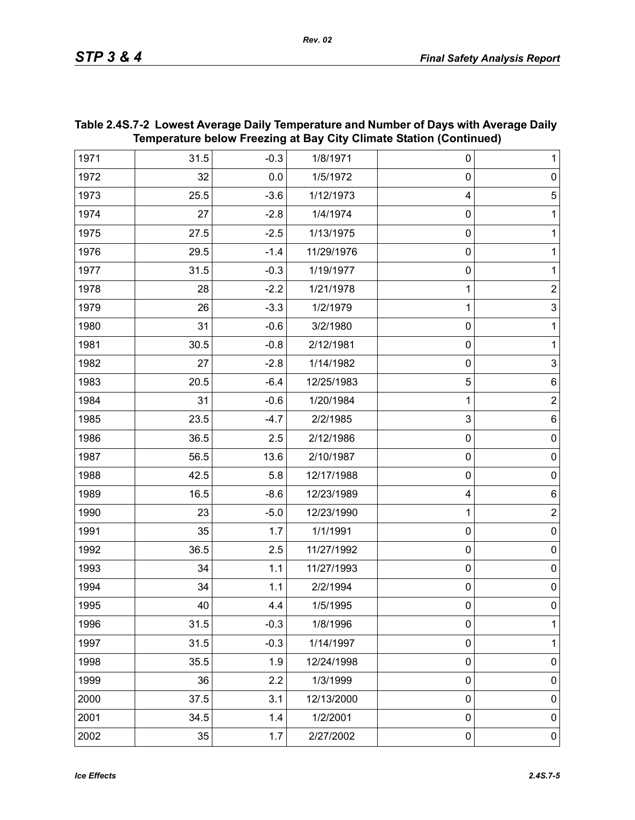|      | Temperature below Freezing at Bay City Climate Station (Continued) |         |            |              |                  |  |
|------|--------------------------------------------------------------------|---------|------------|--------------|------------------|--|
| 1971 | 31.5                                                               | $-0.3$  | 1/8/1971   | 0            | 1                |  |
| 1972 | 32                                                                 | $0.0\,$ | 1/5/1972   | $\mathbf 0$  | $\pmb{0}$        |  |
| 1973 | 25.5                                                               | $-3.6$  | 1/12/1973  | 4            | $\sqrt{5}$       |  |
| 1974 | 27                                                                 | $-2.8$  | 1/4/1974   | $\mathbf 0$  | 1                |  |
| 1975 | 27.5                                                               | $-2.5$  | 1/13/1975  | $\mathbf 0$  | 1                |  |
| 1976 | 29.5                                                               | $-1.4$  | 11/29/1976 | $\mathbf 0$  | 1                |  |
| 1977 | 31.5                                                               | $-0.3$  | 1/19/1977  | $\mathbf 0$  | 1                |  |
| 1978 | 28                                                                 | $-2.2$  | 1/21/1978  | 1            | $\boldsymbol{2}$ |  |
| 1979 | 26                                                                 | $-3.3$  | 1/2/1979   | 1            | $\overline{3}$   |  |
| 1980 | 31                                                                 | $-0.6$  | 3/2/1980   | $\mathbf 0$  | 1                |  |
| 1981 | 30.5                                                               | $-0.8$  | 2/12/1981  | $\mathbf 0$  | 1                |  |
| 1982 | 27                                                                 | $-2.8$  | 1/14/1982  | $\mathbf 0$  | $\mathsf 3$      |  |
| 1983 | 20.5                                                               | $-6.4$  | 12/25/1983 | 5            | 6                |  |
| 1984 | 31                                                                 | $-0.6$  | 1/20/1984  | 1            | $\mathbf 2$      |  |
| 1985 | 23.5                                                               | $-4.7$  | 2/2/1985   | $\mathbf{3}$ | 6                |  |
| 1986 | 36.5                                                               | 2.5     | 2/12/1986  | $\mathbf 0$  | $\pmb{0}$        |  |
| 1987 | 56.5                                                               | 13.6    | 2/10/1987  | $\mathbf 0$  | $\pmb{0}$        |  |
| 1988 | 42.5                                                               | 5.8     | 12/17/1988 | $\mathbf 0$  | $\pmb{0}$        |  |
| 1989 | 16.5                                                               | $-8.6$  | 12/23/1989 | 4            | $\,6$            |  |
| 1990 | 23                                                                 | $-5.0$  | 12/23/1990 | 1            | $\mathbf 2$      |  |
| 1991 | 35                                                                 | 1.7     | 1/1/1991   | $\mathbf 0$  | $\pmb{0}$        |  |
| 1992 | 36.5                                                               | 2.5     | 11/27/1992 | $\mathbf 0$  | $\pmb{0}$        |  |
| 1993 | 34                                                                 | 1.1     | 11/27/1993 | $\mathbf 0$  | $\pmb{0}$        |  |
| 1994 | 34                                                                 | 1.1     | 2/2/1994   | $\mathbf 0$  | $\pmb{0}$        |  |
| 1995 | 40                                                                 | 4.4     | 1/5/1995   | 0            | 0                |  |
| 1996 | 31.5                                                               | $-0.3$  | 1/8/1996   | $\mathbf 0$  | 1                |  |
| 1997 | 31.5                                                               | $-0.3$  | 1/14/1997  | $\mathbf 0$  | 1                |  |
| 1998 | 35.5                                                               | 1.9     | 12/24/1998 | $\mathbf 0$  | $\mathbf 0$      |  |
| 1999 | 36                                                                 | 2.2     | 1/3/1999   | $\mathbf 0$  | $\pmb{0}$        |  |
| 2000 | 37.5                                                               | 3.1     | 12/13/2000 | $\mathbf 0$  | $\mathbf 0$      |  |
| 2001 | 34.5                                                               | 1.4     | 1/2/2001   | $\mathbf 0$  | $\mathbf 0$      |  |
| 2002 | 35                                                                 | 1.7     | 2/27/2002  | $\pmb{0}$    | $\pmb{0}$        |  |

## **Table 2.4S.7-2 Lowest Average Daily Temperature and Number of Days with Average Daily Temperature below Freezing at Bay City Climate Station (Continued)**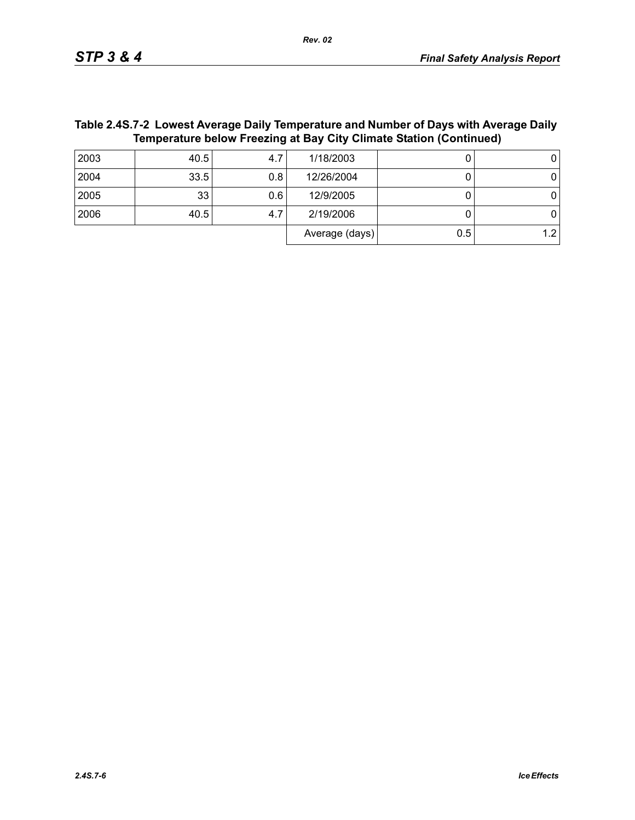Average  $(days)$  0.5 1.2

| <b>TANIVE. TO THE EXHAULTING DUTT</b> TUTTPULAGEV AND HANDOL OF DUTY MILITARY AND ANY<br>Temperature below Freezing at Bay City Climate Station (Continued) |      |      |            |  |  |  |
|-------------------------------------------------------------------------------------------------------------------------------------------------------------|------|------|------------|--|--|--|
| 2003                                                                                                                                                        | 40.5 | 4.7  | 1/18/2003  |  |  |  |
| 2004                                                                                                                                                        | 33.5 | 0.81 | 12/26/2004 |  |  |  |
| 2005                                                                                                                                                        | 33   | 0.61 | 12/9/2005  |  |  |  |
|                                                                                                                                                             |      |      |            |  |  |  |

2006 | 40.5| 4.7| 2/19/2006 | 0| 0

# **Table 2.4S.7-2 Lowest Average Daily Temperature and Number of Days with Average Daily**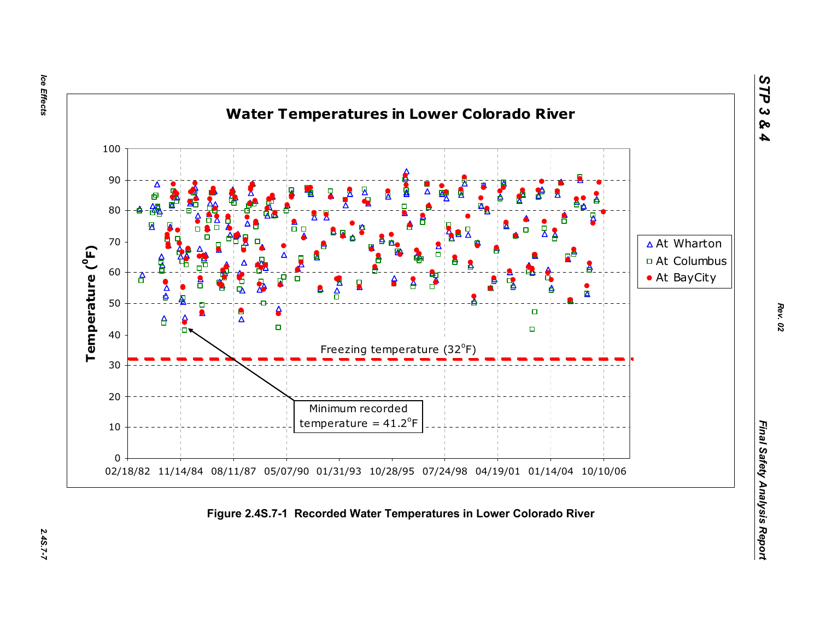